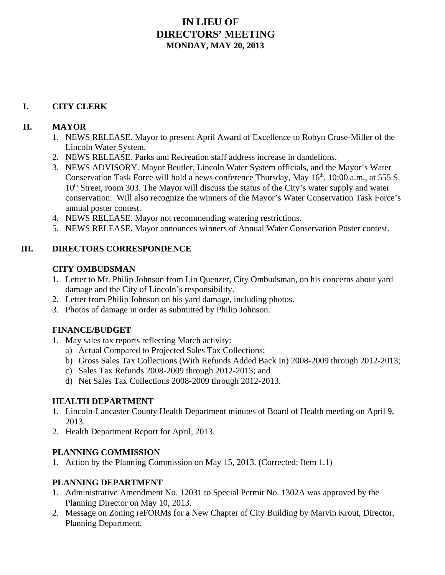# **IN LIEU OF DIRECTORS' MEETING MONDAY, MAY 20, 2013**

# **I. CITY CLERK**

### **II. MAYOR**

- 1. NEWS RELEASE. Mayor to present April Award of Excellence to Robyn Cruse-Miller of the Lincoln Water System.
- 2. NEWS RELEASE. Parks and Recreation staff address increase in dandelions.
- 3. NEWS ADVISORY. Mayor Beutler, Lincoln Water System officials, and the Mayor's Water Conservation Task Force will hold a news conference Thursday, May 16<sup>th</sup>, 10:00 a.m., at 555 S.  $10<sup>th</sup> Street, room 303. The Mayor will discuss the status of the City's water supply and water$ conservation. Will also recognize the winners of the Mayor's Water Conservation Task Force's annual poster contest.
- 4. NEWS RELEASE. Mayor not recommending watering restrictions.
- 5. NEWS RELEASE. Mayor announces winners of Annual Water Conservation Poster contest.

#### **III. DIRECTORS CORRESPONDENCE**

#### **CITY OMBUDSMAN**

- 1. Letter to Mr. Philip Johnson from Lin Quenzer, City Ombudsman, on his concerns about yard damage and the City of Lincoln's responsibility.
- 2. Letter from Philip Johnson on his yard damage, including photos.
- 3. Photos of damage in order as submitted by Philip Johnson.

## **FINANCE/BUDGET**

- 1. May sales tax reports reflecting March activity:
	- a) Actual Compared to Projected Sales Tax Collections;
	- b) Gross Sales Tax Collections (With Refunds Added Back In) 2008-2009 through 2012-2013;
	- c) Sales Tax Refunds 2008-2009 through 2012-2013; and
	- d) Net Sales Tax Collections 2008-2009 through 2012-2013.

## **HEALTH DEPARTMENT**

- 1. Lincoln-Lancaster County Health Department minutes of Board of Health meeting on April 9, 2013.
- 2. Health Department Report for April, 2013.

#### **PLANNING COMMISSION**

1. Action by the Planning Commission on May 15, 2013. (Corrected: Item 1.1)

#### **PLANNING DEPARTMENT**

- 1. Administrative Amendment No. 12031 to Special Permit No. 1302A was approved by the Planning Director on May 10, 2013.
- 2. Message on Zoning reFORMs for a New Chapter of City Building by Marvin Krout, Director, Planning Department.